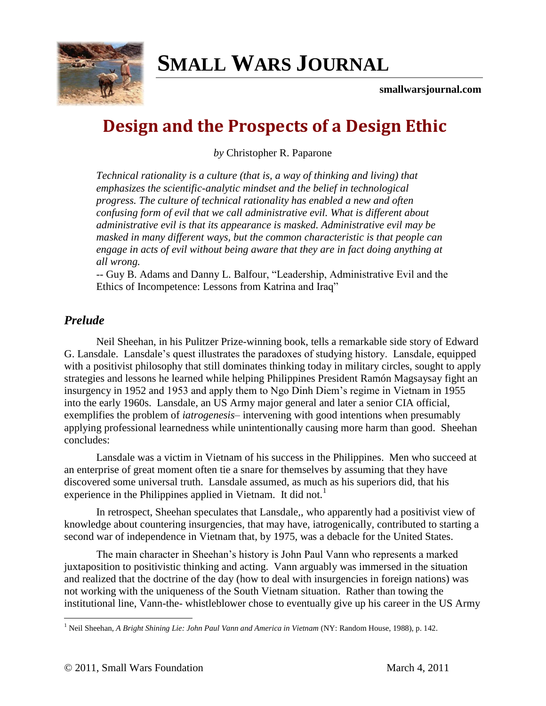

# **SMALL WARS J[OURNAL](http://smallwarsjournal.com/)**

**smallwarsjournal.com**

# **Design and the Prospects of a Design Ethic**

*by* Christopher R. Paparone

*Technical rationality is a culture (that is, a way of thinking and living) that emphasizes the scientific-analytic mindset and the belief in technological progress. The culture of technical rationality has enabled a new and often confusing form of evil that we call administrative evil. What is different about administrative evil is that its appearance is masked. Administrative evil may be masked in many different ways, but the common characteristic is that people can engage in acts of evil without being aware that they are in fact doing anything at all wrong.*

-- Guy B. Adams and Danny L. Balfour, "Leadership, Administrative Evil and the Ethics of Incompetence: Lessons from Katrina and Iraq"

# *Prelude*

 $\overline{a}$ 

Neil Sheehan, in his Pulitzer Prize-winning book, tells a remarkable side story of Edward G. Lansdale. Lansdale's quest illustrates the paradoxes of studying history. Lansdale, equipped with a positivist philosophy that still dominates thinking today in military circles, sought to apply strategies and lessons he learned while helping Philippines President Ramón Magsaysay fight an insurgency in 1952 and 1953 and apply them to Ngo Dinh Diem's regime in Vietnam in 1955 into the early 1960s. Lansdale, an US Army major general and later a senior CIA official, exemplifies the problem of *iatrogenesis*– intervening with good intentions when presumably applying professional learnedness while unintentionally causing more harm than good. Sheehan concludes:

Lansdale was a victim in Vietnam of his success in the Philippines. Men who succeed at an enterprise of great moment often tie a snare for themselves by assuming that they have discovered some universal truth. Lansdale assumed, as much as his superiors did, that his experience in the Philippines applied in Vietnam. It did not.<sup>1</sup>

In retrospect, Sheehan speculates that Lansdale,, who apparently had a positivist view of knowledge about countering insurgencies, that may have, iatrogenically, contributed to starting a second war of independence in Vietnam that, by 1975, was a debacle for the United States.

The main character in Sheehan's history is John Paul Vann who represents a marked juxtaposition to positivistic thinking and acting. Vann arguably was immersed in the situation and realized that the doctrine of the day (how to deal with insurgencies in foreign nations) was not working with the uniqueness of the South Vietnam situation. Rather than towing the institutional line, Vann-the- whistleblower chose to eventually give up his career in the US Army

<sup>1</sup> Neil Sheehan, *A Bright Shining Lie: John Paul Vann and America in Vietnam* (NY: Random House, 1988), p. 142.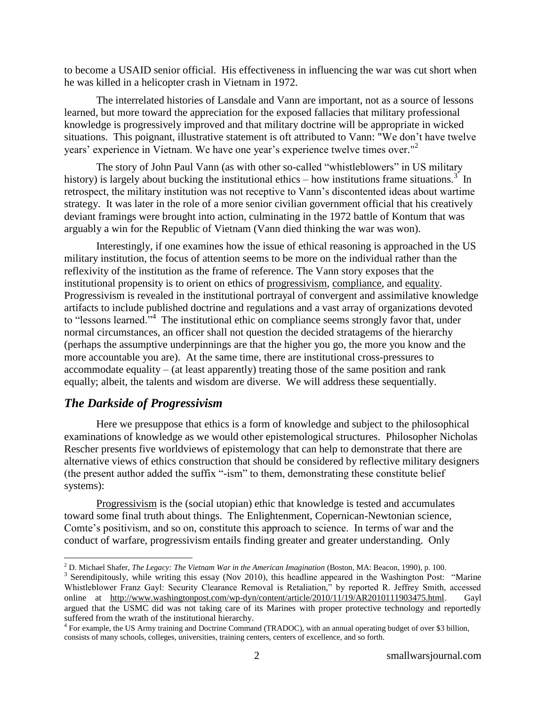to become a USAID senior official. His effectiveness in influencing the war was cut short when he was killed in a helicopter crash in Vietnam in 1972.

The interrelated histories of Lansdale and Vann are important, not as a source of lessons learned, but more toward the appreciation for the exposed fallacies that military professional knowledge is progressively improved and that military doctrine will be appropriate in wicked situations. This poignant, illustrative statement is oft attributed to Vann: "We don't have twelve years' experience in Vietnam. We have one year's experience twelve times over."<sup>2</sup>

The story of John Paul Vann (as with other so-called "whistleblowers" in US military history) is largely about bucking the institutional ethics  $-$  how institutions frame situations.<sup>3</sup> In retrospect, the military institution was not receptive to Vann's discontented ideas about wartime strategy. It was later in the role of a more senior civilian government official that his creatively deviant framings were brought into action, culminating in the 1972 battle of Kontum that was arguably a win for the Republic of Vietnam (Vann died thinking the war was won).

Interestingly, if one examines how the issue of ethical reasoning is approached in the US military institution, the focus of attention seems to be more on the individual rather than the reflexivity of the institution as the frame of reference. The Vann story exposes that the institutional propensity is to orient on ethics of progressivism, compliance, and equality. Progressivism is revealed in the institutional portrayal of convergent and assimilative knowledge artifacts to include published doctrine and regulations and a vast array of organizations devoted to "lessons learned."<sup>4</sup> The institutional ethic on compliance seems strongly favor that, under normal circumstances, an officer shall not question the decided stratagems of the hierarchy (perhaps the assumptive underpinnings are that the higher you go, the more you know and the more accountable you are). At the same time, there are institutional cross-pressures to accommodate equality – (at least apparently) treating those of the same position and rank equally; albeit, the talents and wisdom are diverse. We will address these sequentially.

# *The Darkside of Progressivism*

 $\overline{a}$ 

Here we presuppose that ethics is a form of knowledge and subject to the philosophical examinations of knowledge as we would other epistemological structures. Philosopher Nicholas Rescher presents five worldviews of epistemology that can help to demonstrate that there are alternative views of ethics construction that should be considered by reflective military designers (the present author added the suffix "-ism" to them, demonstrating these constitute belief systems):

Progressivism is the (social utopian) ethic that knowledge is tested and accumulates toward some final truth about things. The Enlightenment, Copernican-Newtonian science, Comte's positivism, and so on, constitute this approach to science. In terms of war and the conduct of warfare, progressivism entails finding greater and greater understanding. Only

<sup>2</sup> D. Michael Shafer, *The Legacy: The Vietnam War in the American Imagination* (Boston, MA: Beacon, 1990), p. 100.

 $3$  Serendipitously, while writing this essay (Nov 2010), this headline appeared in the Washington Post: "Marine Whistleblower Franz Gayl: Security Clearance Removal is Retaliation," by reported R. Jeffrey Smith, accessed online at [http://www.washingtonpost.com/wp-dyn/content/article/2010/11/19/AR2010111903475.html.](http://www.washingtonpost.com/wp-dyn/content/article/2010/11/19/AR2010111903475.html) Gayl argued that the USMC did was not taking care of its Marines with proper protective technology and reportedly suffered from the wrath of the institutional hierarchy.

<sup>&</sup>lt;sup>4</sup> For example, the US Army training and Doctrine Command (TRADOC), with an annual operating budget of over \$3 billion, consists of many schools, colleges, universities, training centers, centers of excellence, and so forth.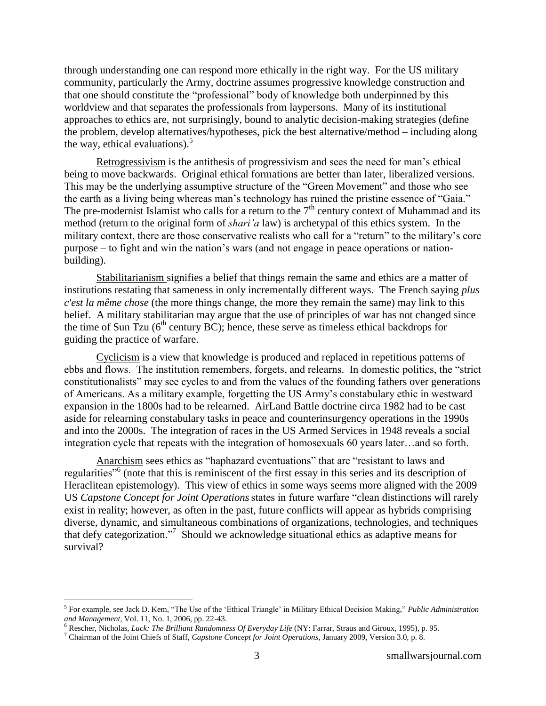through understanding one can respond more ethically in the right way. For the US military community, particularly the Army, doctrine assumes progressive knowledge construction and that one should constitute the "professional" body of knowledge both underpinned by this worldview and that separates the professionals from laypersons. Many of its institutional approaches to ethics are, not surprisingly, bound to analytic decision-making strategies (define the problem, develop alternatives/hypotheses, pick the best alternative/method – including along the way, ethical evaluations). $5$ 

Retrogressivism is the antithesis of progressivism and sees the need for man's ethical being to move backwards. Original ethical formations are better than later, liberalized versions. This may be the underlying assumptive structure of the "Green Movement" and those who see the earth as a living being whereas man's technology has ruined the pristine essence of "Gaia." The pre-modernist Islamist who calls for a return to the  $7<sup>th</sup>$  century context of Muhammad and its method (return to the original form of *shari'a* law) is archetypal of this ethics system. In the military context, there are those conservative realists who call for a "return" to the military's core purpose – to fight and win the nation's wars (and not engage in peace operations or nationbuilding).

Stabilitarianism signifies a belief that things remain the same and ethics are a matter of institutions restating that sameness in only incrementally different ways. The French saying *plus c'est la même chose* (the more things change, the more they remain the same) may link to this belief. A military stabilitarian may argue that the use of principles of war has not changed since the time of Sun Tzu  $(6<sup>th</sup>$  century BC); hence, these serve as timeless ethical backdrops for guiding the practice of warfare.

Cyclicism is a view that knowledge is produced and replaced in repetitious patterns of ebbs and flows. The institution remembers, forgets, and relearns. In domestic politics, the "strict" constitutionalists" may see cycles to and from the values of the founding fathers over generations of Americans. As a military example, forgetting the US Army's constabulary ethic in westward expansion in the 1800s had to be relearned. AirLand Battle doctrine circa 1982 had to be cast aside for relearning constabulary tasks in peace and counterinsurgency operations in the 1990s and into the 2000s. The integration of races in the US Armed Services in 1948 reveals a social integration cycle that repeats with the integration of homosexuals 60 years later…and so forth.

Anarchism sees ethics as "haphazard eventuations" that are "resistant to laws and regularities<sup>"6</sup> (note that this is reminiscent of the first essay in this series and its description of Heraclitean epistemology). This view of ethics in some ways seems more aligned with the 2009 US *Capstone Concept for Joint Operations* states in future warfare "clean distinctions will rarely exist in reality; however, as often in the past, future conflicts will appear as hybrids comprising diverse, dynamic, and simultaneous combinations of organizations, technologies, and techniques that defy categorization."<sup>7</sup> Should we acknowledge situational ethics as adaptive means for survival?

 $\overline{a}$ 

<sup>&</sup>lt;sup>5</sup> For example, see Jack D. Kem, "The Use of the 'Ethical Triangle' in Military Ethical Decision Making," *Public Administration and Management,* Vol. 11, No. 1, 2006, pp. 22-43.

<sup>6</sup> Rescher, Nicholas, *Luck: The Brilliant Randomness Of Everyday Life* (NY: Farrar, Straus and Giroux, 1995), p. 95.

<sup>7</sup> Chairman of the Joint Chiefs of Staff, *Capstone Concept for Joint Operations*, January 2009, Version 3.0, p. 8.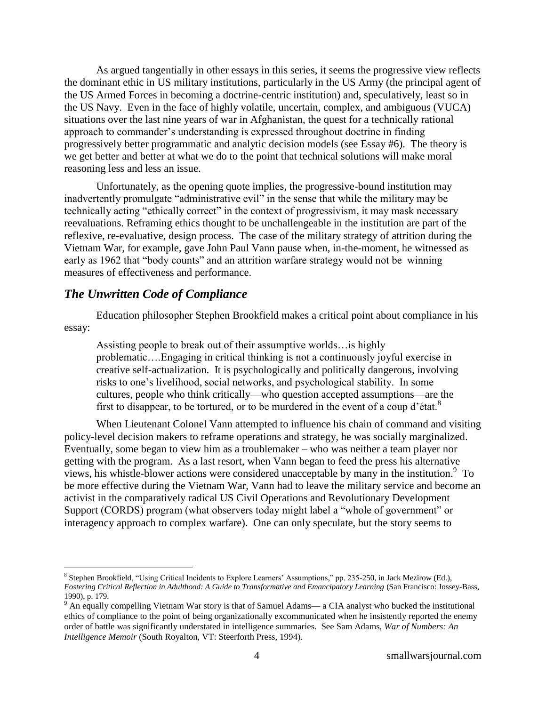As argued tangentially in other essays in this series, it seems the progressive view reflects the dominant ethic in US military institutions, particularly in the US Army (the principal agent of the US Armed Forces in becoming a doctrine-centric institution) and, speculatively, least so in the US Navy. Even in the face of highly volatile, uncertain, complex, and ambiguous (VUCA) situations over the last nine years of war in Afghanistan, the quest for a technically rational approach to commander's understanding is expressed throughout doctrine in finding progressively better programmatic and analytic decision models (see Essay #6). The theory is we get better and better at what we do to the point that technical solutions will make moral reasoning less and less an issue.

Unfortunately, as the opening quote implies, the progressive-bound institution may inadvertently promulgate "administrative evil" in the sense that while the military may be technically acting "ethically correct" in the context of progressivism, it may mask necessary reevaluations. Reframing ethics thought to be unchallengeable in the institution are part of the reflexive, re-evaluative, design process. The case of the military strategy of attrition during the Vietnam War, for example, gave John Paul Vann pause when, in-the-moment, he witnessed as early as 1962 that "body counts" and an attrition warfare strategy would not be winning measures of effectiveness and performance.

#### *The Unwritten Code of Compliance*

 $\overline{a}$ 

Education philosopher Stephen Brookfield makes a critical point about compliance in his essay:

Assisting people to break out of their assumptive worlds…is highly problematic….Engaging in critical thinking is not a continuously joyful exercise in creative self-actualization. It is psychologically and politically dangerous, involving risks to one's livelihood, social networks, and psychological stability. In some cultures, people who think critically—who question accepted assumptions—are the first to disappear, to be tortured, or to be murdered in the event of a coup d'état.<sup>8</sup>

When Lieutenant Colonel Vann attempted to influence his chain of command and visiting policy-level decision makers to reframe operations and strategy, he was socially marginalized. Eventually, some began to view him as a troublemaker – who was neither a team player nor getting with the program. As a last resort, when Vann began to feed the press his alternative views, his whistle-blower actions were considered unacceptable by many in the institution.<sup>9</sup> To be more effective during the Vietnam War, Vann had to leave the military service and become an activist in the comparatively radical US Civil Operations and Revolutionary Development Support (CORDS) program (what observers today might label a "whole of government" or interagency approach to complex warfare). One can only speculate, but the story seems to

<sup>&</sup>lt;sup>8</sup> Stephen Brookfield, "Using Critical Incidents to Explore Learners' Assumptions," pp. 235-250, in Jack Mezirow (Ed.), *Fostering Critical Reflection in Adulthood: A Guide to Transformative and Emancipatory Learning* (San Francisco: Jossey-Bass, 1990), p. 179.

<sup>9</sup> An equally compelling Vietnam War story is that of Samuel Adams— a CIA analyst who bucked the institutional ethics of compliance to the point of being organizationally excommunicated when he insistently reported the enemy order of battle was significantly understated in intelligence summaries. See Sam Adams, *War of Numbers: An Intelligence Memoir* (South Royalton, VT: Steerforth Press, 1994).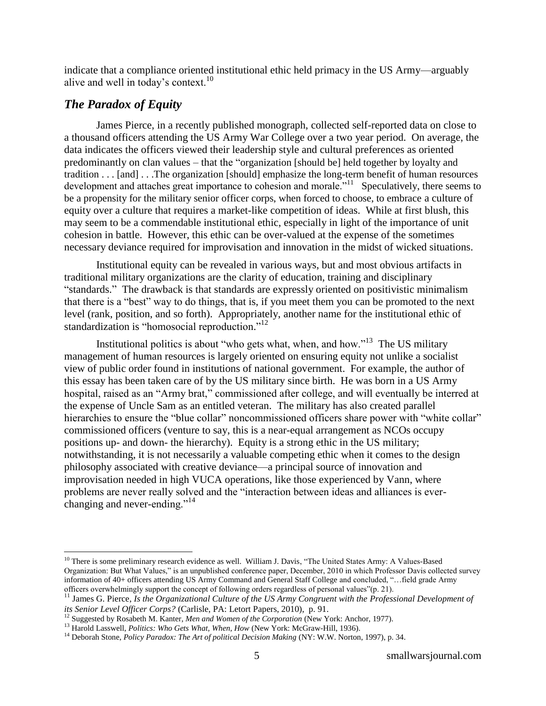indicate that a compliance oriented institutional ethic held primacy in the US Army—arguably alive and well in today's context.<sup>10</sup>

# *The Paradox of Equity*

 $\overline{a}$ 

James Pierce, in a recently published monograph, collected self-reported data on close to a thousand officers attending the US Army War College over a two year period. On average, the data indicates the officers viewed their leadership style and cultural preferences as oriented predominantly on clan values – that the "organization [should be] held together by loyalty and tradition . . . [and] . . .The organization [should] emphasize the long-term benefit of human resources development and attaches great importance to cohesion and morale.<sup>"11</sup> Speculatively, there seems to be a propensity for the military senior officer corps, when forced to choose, to embrace a culture of equity over a culture that requires a market-like competition of ideas. While at first blush, this may seem to be a commendable institutional ethic, especially in light of the importance of unit cohesion in battle. However, this ethic can be over-valued at the expense of the sometimes necessary deviance required for improvisation and innovation in the midst of wicked situations.

Institutional equity can be revealed in various ways, but and most obvious artifacts in traditional military organizations are the clarity of education, training and disciplinary "standards." The drawback is that standards are expressly oriented on positivistic minimalism that there is a "best" way to do things, that is, if you meet them you can be promoted to the next level (rank, position, and so forth). Appropriately, another name for the institutional ethic of standardization is "homosocial reproduction."<sup>12</sup>

Institutional politics is about "who gets what, when, and how."<sup>13</sup> The US military management of human resources is largely oriented on ensuring equity not unlike a socialist view of public order found in institutions of national government. For example, the author of this essay has been taken care of by the US military since birth. He was born in a US Army hospital, raised as an "Army brat," commissioned after college, and will eventually be interred at the expense of Uncle Sam as an entitled veteran. The military has also created parallel hierarchies to ensure the "blue collar" noncommissioned officers share power with "white collar" commissioned officers (venture to say, this is a near-equal arrangement as NCOs occupy positions up- and down- the hierarchy). Equity is a strong ethic in the US military; notwithstanding, it is not necessarily a valuable competing ethic when it comes to the design philosophy associated with creative deviance—a principal source of innovation and improvisation needed in high VUCA operations, like those experienced by Vann, where problems are never really solved and the "interaction between ideas and alliances is everchanging and never-ending."<sup>14</sup>

 $10$  There is some preliminary research evidence as well. William J. Davis, "The United States Army: A Values-Based Organization: But What Values," is an unpublished conference paper, December, 2010 in which Professor Davis collected survey information of 40+ officers attending US Army Command and General Staff College and concluded, "... field grade Army officers overwhelmingly support the concept of following orders regardless of personal values"(p. 21).

<sup>&</sup>lt;sup>11</sup> James G. Pierce, *Is the Organizational Culture of the US Army Congruent with the Professional Development of its Senior Level Officer Corps?* (Carlisle, PA: Letort Papers, 2010), p. 91.

<sup>12</sup> Suggested by Rosabeth M. Kanter, *Men and Women of the Corporation* (New York: Anchor, 1977).

<sup>&</sup>lt;sup>13</sup> Harold Lasswell, *Politics: Who Gets What, When, How* (New York: McGraw-Hill, 1936).

<sup>14</sup> Deborah Stone, *Policy Paradox: The Art of political Decision Making* (NY: W.W. Norton, 1997), p. 34.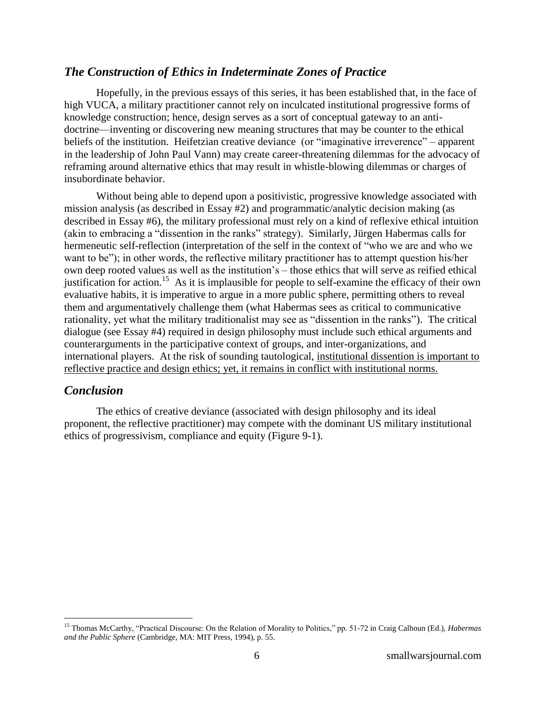#### *The Construction of Ethics in Indeterminate Zones of Practice*

Hopefully, in the previous essays of this series, it has been established that, in the face of high VUCA, a military practitioner cannot rely on inculcated institutional progressive forms of knowledge construction; hence, design serves as a sort of conceptual gateway to an antidoctrine—inventing or discovering new meaning structures that may be counter to the ethical beliefs of the institution. Heifetzian creative deviance (or "imaginative irreverence" – apparent in the leadership of John Paul Vann) may create career-threatening dilemmas for the advocacy of reframing around alternative ethics that may result in whistle-blowing dilemmas or charges of insubordinate behavior.

Without being able to depend upon a positivistic, progressive knowledge associated with mission analysis (as described in Essay #2) and programmatic/analytic decision making (as described in Essay #6), the military professional must rely on a kind of reflexive ethical intuition (akin to embracing a "dissention in the ranks" strategy). Similarly, Jürgen Habermas calls for hermeneutic self-reflection (interpretation of the self in the context of "who we are and who we want to be"); in other words, the reflective military practitioner has to attempt question his/her own deep rooted values as well as the institution's – those ethics that will serve as reified ethical justification for action.<sup>15</sup> As it is implausible for people to self-examine the efficacy of their own evaluative habits, it is imperative to argue in a more public sphere, permitting others to reveal them and argumentatively challenge them (what Habermas sees as critical to communicative rationality, yet what the military traditionalist may see as "dissention in the ranks"). The critical dialogue (see Essay #4) required in design philosophy must include such ethical arguments and counterarguments in the participative context of groups, and inter-organizations, and international players. At the risk of sounding tautological, institutional dissention is important to reflective practice and design ethics; yet, it remains in conflict with institutional norms.

#### *Conclusion*

 $\overline{a}$ 

The ethics of creative deviance (associated with design philosophy and its ideal proponent, the reflective practitioner) may compete with the dominant US military institutional ethics of progressivism, compliance and equity (Figure 9-1).

<sup>&</sup>lt;sup>15</sup> Thomas McCarthy, "Practical Discourse: On the Relation of Morality to Politics," pp. 51-72 in Craig Calhoun (Ed.), *Habermas and the Public Sphere* (Cambridge, MA: MIT Press, 1994), p. 55.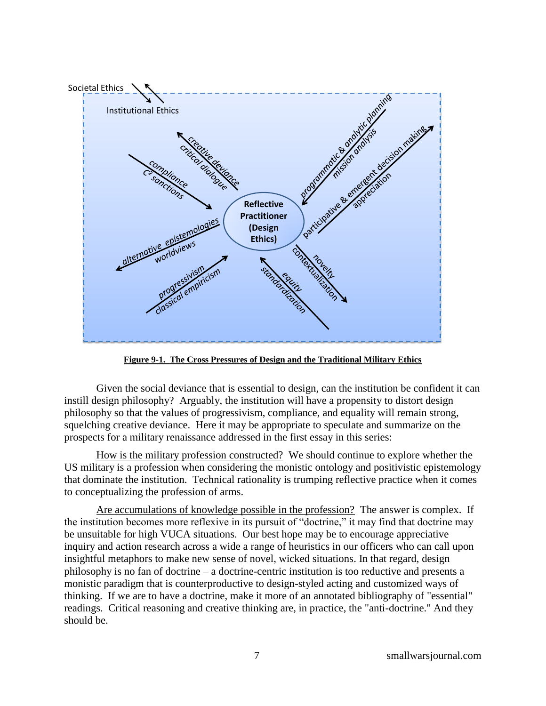

**Figure 9-1. The Cross Pressures of Design and the Traditional Military Ethics**

Given the social deviance that is essential to design, can the institution be confident it can instill design philosophy? Arguably, the institution will have a propensity to distort design philosophy so that the values of progressivism, compliance, and equality will remain strong, squelching creative deviance. Here it may be appropriate to speculate and summarize on the prospects for a military renaissance addressed in the first essay in this series:

How is the military profession constructed?We should continue to explore whether the US military is a profession when considering the monistic ontology and positivistic epistemology that dominate the institution. Technical rationality is trumping reflective practice when it comes to conceptualizing the profession of arms.

Are accumulations of knowledge possible in the profession? The answer is complex. If the institution becomes more reflexive in its pursuit of "doctrine," it may find that doctrine may be unsuitable for high VUCA situations. Our best hope may be to encourage appreciative inquiry and action research across a wide a range of heuristics in our officers who can call upon insightful metaphors to make new sense of novel, wicked situations. In that regard, design philosophy is no fan of doctrine – a doctrine-centric institution is too reductive and presents a monistic paradigm that is counterproductive to design-styled acting and customized ways of thinking. If we are to have a doctrine, make it more of an annotated bibliography of "essential" readings. Critical reasoning and creative thinking are, in practice, the "anti-doctrine." And they should be.